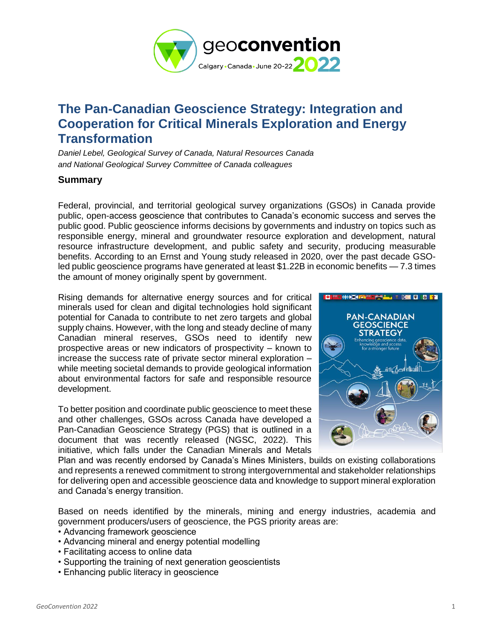

## **The Pan-Canadian Geoscience Strategy: Integration and Cooperation for Critical Minerals Exploration and Energy Transformation**

*Daniel Lebel, Geological Survey of Canada, Natural Resources Canada and National Geological Survey Committee of Canada colleagues*

## **Summary**

Federal, provincial, and territorial geological survey organizations (GSOs) in Canada provide public, open-access geoscience that contributes to Canada's economic success and serves the public good. Public geoscience informs decisions by governments and industry on topics such as responsible energy, mineral and groundwater resource exploration and development, natural resource infrastructure development, and public safety and security, producing measurable benefits. According to an Ernst and Young study released in 2020, over the past decade GSOled public geoscience programs have generated at least \$1.22B in economic benefits — 7.3 times the amount of money originally spent by government.

Rising demands for alternative energy sources and for critical minerals used for clean and digital technologies hold significant potential for Canada to contribute to net zero targets and global supply chains. However, with the long and steady decline of many Canadian mineral reserves, GSOs need to identify new prospective areas or new indicators of prospectivity – known to increase the success rate of private sector mineral exploration – while meeting societal demands to provide geological information about environmental factors for safe and responsible resource development.

To better position and coordinate public geoscience to meet these and other challenges, GSOs across Canada have developed a Pan-Canadian Geoscience Strategy (PGS) that is outlined in a document that was recently released (NGSC, 2022). This initiative, which falls under the Canadian Minerals and Metals



Plan and was recently endorsed by Canada's Mines Ministers, builds on existing collaborations and represents a renewed commitment to strong intergovernmental and stakeholder relationships for delivering open and accessible geoscience data and knowledge to support mineral exploration and Canada's energy transition.

Based on needs identified by the minerals, mining and energy industries, academia and government producers/users of geoscience, the PGS priority areas are:

- Advancing framework geoscience
- Advancing mineral and energy potential modelling
- Facilitating access to online data
- Supporting the training of next generation geoscientists
- Enhancing public literacy in geoscience